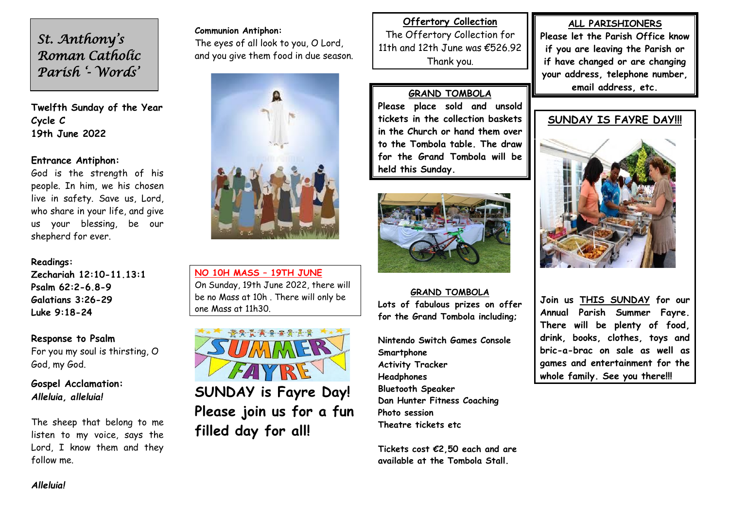*St. Anthony's Roman Catholic Parish '- Words'* 

**Twelfth Sunday of the Year** **Cycle C 19th June 2022**

### **Entrance Antiphon:**

God is the strength of his people. In him, we his chosen live in safety. Save us, Lord, who share in your life, and give us your blessing, be our shepherd for ever.

### **Readings:**

**Zechariah 12:10-11.13:1 Psalm 62:2-6.8-9 Galatians 3:26-29 Luke 9:18-24**

**Response to Psalm**

For you my soul is thirsting, O God, my God.

**Gospel Acclamation:** *Alleluia, alleluia!*

The sheep that belong to me listen to my voice, says the Lord, I know them and they follow me.

**Communion Antiphon:**  The eyes of all look to you, O Lord, and you give them food in due season.



**NO 10H MASS – 19TH JUNE** On Sunday, 19th June 2022, there will be no Mass at 10h . There will only be one Mass at 11h30.



**SUNDAY is Fayre Day! Please join us for a fun filled day for all!**

**Offertory Collection** The Offertory Collection for 11th and 12th June was €526.92 Thank you.

### **GRAND TOMBOLA**

**Please place sold and unsold tickets in the collection baskets in the Church or hand them over to the Tombola table. The draw for the Grand Tombola will be held this Sunday.**



**GRAND TOMBOLA Lots of fabulous prizes on offer for the Grand Tombola including;**

**Nintendo Switch Games Console Smartphone Activity Tracker Headphones Bluetooth Speaker Dan Hunter Fitness Coaching Photo session Theatre tickets etc**

**Tickets cost €2,50 each and are available at the Tombola Stall.**

**ALL PARISHIONERS Please let the Parish Office know if you are leaving the Parish or if have changed or are changing your address, telephone number, email address, etc.**



**Join us THIS SUNDAY for our Annual Parish Summer Fayre. There will be plenty of food, drink, books, clothes, toys and bric-a-brac on sale as well as games and entertainment for the whole family. See you there!!!**